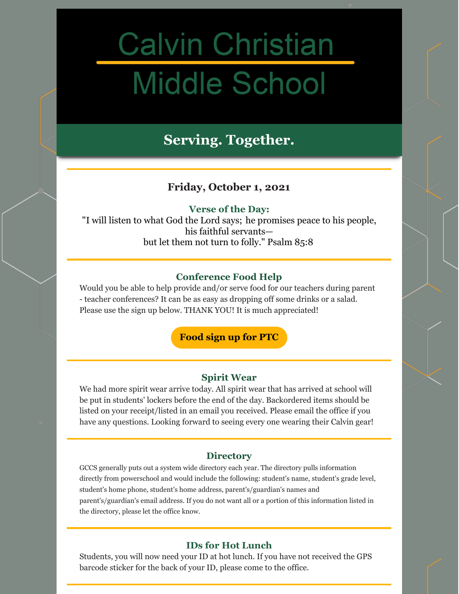# **Calvin Christian Middle School**

# **Serving. Together.**

# **Friday, October 1, 2021**

#### **Verse of the Day:**

"I will listen to what God the Lord says; he promises peace to his people, his faithful servants but let them not turn to folly." Psalm 85:8

#### **Conference Food Help**

Would you be able to help provide and/or serve food for our teachers during parent - teacher conferences? It can be as easy as dropping off some drinks or a salad. Please use the sign up below. THANK YOU! It is much appreciated!

**[Food](https://www.signupgenius.com/go/10c0d4eaeae2ea5f8c25-fall) sign up for PTC**

#### **Spirit Wear**

We had more spirit wear arrive today. All spirit wear that has arrived at school will be put in students' lockers before the end of the day. Backordered items should be listed on your receipt/listed in an email you received. Please email the office if you have any questions. Looking forward to seeing every one wearing their Calvin gear!

#### **Directory**

GCCS generally puts out a system wide directory each year. The directory pulls information directly from powerschool and would include the following: student's name, student's grade level, student's home phone, student's home address, parent's/guardian's names and parent's/guardian's email address. If you do not want all or a portion of this information listed in the directory, please let the office know.

#### **IDs for Hot Lunch**

Students, you will now need your ID at hot lunch. If you have not received the GPS barcode sticker for the back of your ID, please come to the office.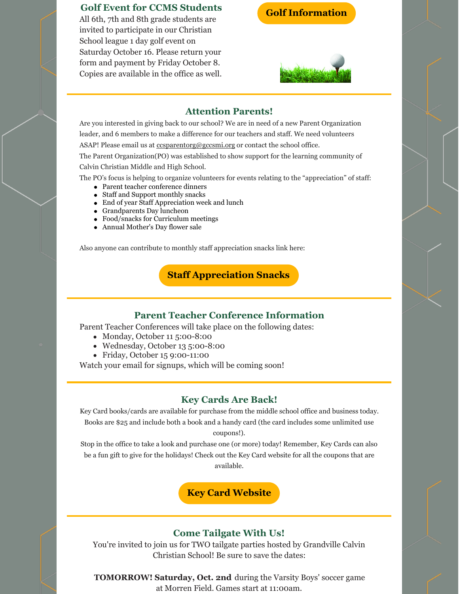#### **Golf Event for CCMS Students**

All 6th, 7th and 8th grade students are invited to participate in our Christian School league 1 day golf event on Saturday October 16. Please return your form and payment by Friday October 8. Copies are available in the office as well. **Golf [Information](https://docs.google.com/document/d/1zDXpbiglhVVPswo8ttQTeVXIJVE6D7-CXLcKHJTDCig/edit?usp=sharing)**



#### **Attention Parents!**

Are you interested in giving back to our school? We are in need of a new Parent Organization leader, and 6 members to make a difference for our teachers and staff. We need volunteers ASAP! Please email us at cosparentorg@gccsmi.org or contact the school office.

The Parent Organization(PO) was established to show support for the learning community of Calvin Christian Middle and High School.

The PO's focus is helping to organize volunteers for events relating to the "appreciation" of staff:

- Parent teacher conference dinners
- Staff and Support monthly snacks
- End of year Staff Appreciation week and lunch
- Grandparents Day luncheon
- Food/snacks for Curriculum meetings
- Annual Mother's Day flower sale

Also anyone can contribute to monthly staff appreciation snacks link here:

## **Staff [Appreciation](https://www.signupgenius.com/go/10c0d4eaeae2ea5f8c25-20202021) Snacks**

#### **Parent Teacher Conference Information**

Parent Teacher Conferences will take place on the following dates:

- Monday, October 11 5:00-8:00
- Wednesday, October 13 5:00-8:00
- Friday, October 15 9:00-11:00

Watch your email for signups, which will be coming soon!

#### **Key Cards Are Back!**

Key Card books/cards are available for purchase from the middle school office and business today. Books are \$25 and include both a book and a handy card (the card includes some unlimited use coupons!).

Stop in the office to take a look and purchase one (or more) today! Remember, Key Cards can also be a fun gift to give for the holidays! Check out the Key Card website for all the coupons that are available.

# **Key Card [Website](https://qrkeycard.com/)**

#### **Come Tailgate With Us!**

You're invited to join us for TWO tailgate parties hosted by Grandville Calvin Christian School! Be sure to save the dates:

**TOMORROW! Saturday, Oct. 2nd** during the Varsity Boys' soccer game at Morren Field. Games start at 11:00am.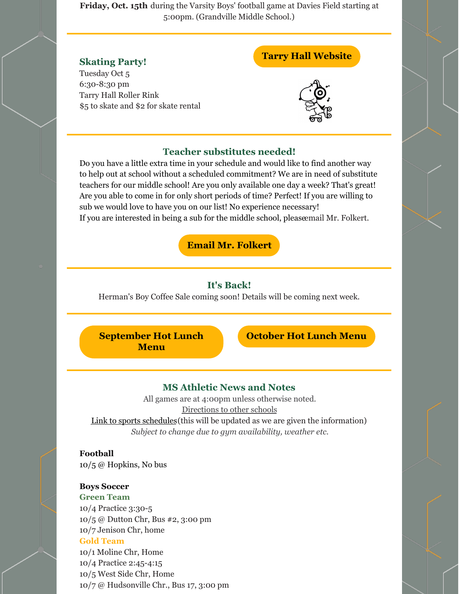**Friday, Oct. 15th** during the Varsity Boys' football game at Davies Field starting at 5:00pm. (Grandville Middle School.)

#### **Skating Party!**

Tuesday Oct 5 6:30-8:30 pm Tarry Hall Roller Rink \$5 to skate and \$2 for skate rental

### **Tarry Hall [Website](https://tarryhall.com/)**



#### **Teacher substitutes needed!**

Do you have a little extra time in your schedule and would like to find another way to help out at school without a scheduled commitment? We are in need of substitute teachers for our middle school! Are you only available one day a week? That's great! Are you able to come in for only short periods of time? Perfect! If you are willing to sub we would love to have you on our list! No experience necessary! If you are interested in being a sub for the middle school, pleaseemail Mr. Folkert.

**Email Mr. [Folkert](mailto:jfolkert@gccsmi.org)**

#### **It's Back!**

Herman's Boy Coffee Sale coming soon! Details will be coming next week.

**[September](https://files.constantcontact.com/9f9c2db7501/14004bb2-4030-46e7-afa3-79b291df5d6e.pdf) Hot Lunch Menu**

**[October](https://files.constantcontact.com/9f9c2db7501/a4668158-a807-416c-bfa1-597875563f2d.pdf) Hot Lunch Menu**

#### **MS Athletic News and Notes**

All games are at 4:00pm unless otherwise noted. [Directions](https://www.gosquires.org/sports/middle-school-sports/locations/) to other schools Link to sports [schedules](https://www.gosquires.org/sports/middle-school-sports/schedule/) (this will be updated as we are given the information)

*Subject to change due to gym availability, weather etc.*

#### **Football**

10/5 @ Hopkins, No bus

#### **Boys Soccer**

**Green Team** 10/4 Practice 3:30-5 10/5 @ Dutton Chr, Bus #2, 3:00 pm 10/7 Jenison Chr, home **Gold Team** 10/1 Moline Chr, Home 10/4 Practice 2:45-4:15 10/5 West Side Chr, Home 10/7 @ Hudsonville Chr., Bus 17, 3:00 pm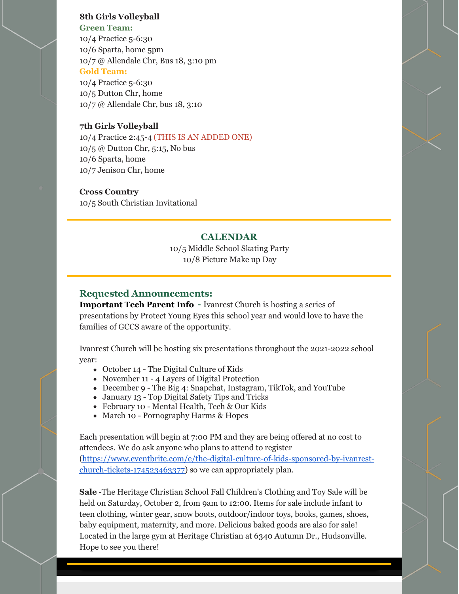#### **8th Girls Volleyball Green Team:**

10/4 Practice 5-6:30 10/6 Sparta, home 5pm 10/7 @ Allendale Chr, Bus 18, 3:10 pm **Gold Team:** 10/4 Practice 5-6:30 10/5 Dutton Chr, home

10/7 @ Allendale Chr, bus 18, 3:10

#### **7th Girls Volleyball**

10/4 Practice 2:45-4 (THIS IS AN ADDED ONE) 10/5 @ Dutton Chr, 5:15, No bus 10/6 Sparta, home 10/7 Jenison Chr, home

#### **Cross Country**

10/5 South Christian Invitational

#### **CALENDAR**

10/5 Middle School Skating Party 10/8 Picture Make up Day

#### **Requested Announcements:**

**Important Tech Parent Info -** Ivanrest Church is hosting a series of presentations by Protect Young Eyes this school year and would love to have the families of GCCS aware of the opportunity.

Ivanrest Church will be hosting six presentations throughout the 2021-2022 school year:

- October 14 The Digital Culture of Kids
- November 11 4 Layers of Digital Protection
- December 9 The Big 4: Snapchat, Instagram, TikTok, and YouTube
- January 13 Top Digital Safety Tips and Tricks
- February 10 Mental Health, Tech & Our Kids
- March 10 Pornography Harms & Hopes

Each presentation will begin at 7:00 PM and they are being offered at no cost to attendees. We do ask anyone who plans to attend to register [\(https://www.eventbrite.com/e/the-digital-culture-of-kids-sponsored-by-ivanrest](https://www.eventbrite.com/e/the-digital-culture-of-kids-sponsored-by-ivanrest-church-tickets-174523463377)church-tickets-174523463377) so we can appropriately plan.

**Sale** -The Heritage Christian School Fall Children's Clothing and Toy Sale will be held on Saturday, October 2, from 9am to 12:00. Items for sale include infant to teen clothing, winter gear, snow boots, outdoor/indoor toys, books, games, shoes, baby equipment, maternity, and more. Delicious baked goods are also for sale! Located in the large gym at Heritage Christian at 6340 Autumn Dr., Hudsonville. Hope to see you there!